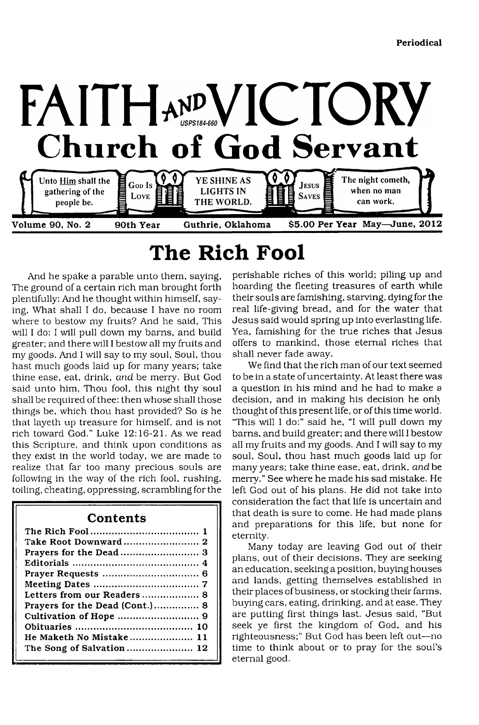

# **The Rich Fool**

And he spake a parable unto them, saying, The ground of a certain rich man brought forth plentifully: And he thought within himself, saying, What shall I do, because I have no room where to bestow my fruits? And he said, This will I do: I will pull down my barns, and build greater: and there will I bestow all my fruits and my goods. And I will say to my soul, Soul, thou hast much goods laid up for many years; take thine ease, eat, drink, *and* be merry. But God said unto him, Thou fool, this night thy soul shall be required of thee: then whose shall those things be, which thou hast provided? So is he that layeth up treasure for himself, and is not rich toward God." Luke 12:16-21. As we read this Scripture, and think upon conditions as they exist in the world today, we are made to realize that far too many precious souls are following in the way of the rich fool, rushing, toiling, cheating, oppressing, scrambling for the

# **Contents**

| Letters from our Readers 8     |
|--------------------------------|
| Prayers for the Dead (Cont.) 8 |
|                                |
|                                |
| He Maketh No Mistake 11        |
| The Song of Salvation 12       |
|                                |

perishable riches of this world; piling up and hoarding the fleeting treasures of earth while their souls are famishing, starving, dying for the real life-giving bread, and for the water that Jesus said would spring up into everlasting life. Yea, famishing for the true riches that Jesus offers to mankind, those eternal riches that shall never fade away.

We find that the rich man of our text seemed to be in a state of uncertainty. At least there was a question in his mind and he had to make a decision, and in making his decision he only thought of this present life, or of this time world. "This will I do:" said he, "I will pull down my barns, and build greater; and there will I bestow all my fruits and my goods. And I will say to my soul, Soul, thou hast much goods laid up for many years; take thine ease, eat, drink, *and* be merry." See where he made his sad mistake. He left God out of his plans. He did not take into consideration the fact that life is uncertain and that death is sure to come. He had made plans and preparations for this life, but none for eternity.

Many today are leaving God out of their plans, out of their decisions. They are seeking an education, seeking a position, buying houses and lands, getting themselves established in their places of business, or stocking their farms, buying cars, eating, drinking, and at ease. They are putting first things last. Jesus said, "But seek ye first the kingdom of God, and his righteousness;" But God has been left out—no time to think about or to pray for the soul's eternal good.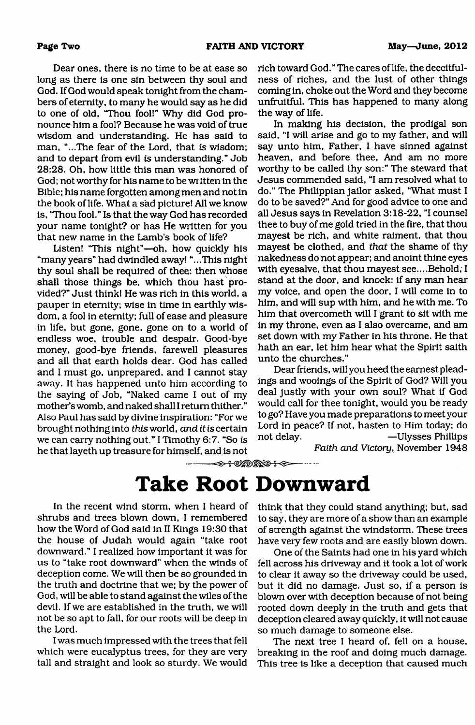Dear ones, there is no time to be at ease so long as there is one sin between thy soul and God. If God would speak tonight from the chambers of eternity, to many he would say as he did to one of old, 'Thou fool!" Why did God pronounce him a fool? Because he was void of true wisdom and understanding. He has said to man, ".,.The fear of the Lord, that is wisdom; and to depart from evil *is* understanding." Job 28:28. Oh, how little this man was honored of God; not worthy for his name to be wi itten in the Bible; his name forgotten among men and not in the book of life. What a sad picture! All we know is, "Thou fool." Is that the way God has recorded your name tonight? or has He written for you that new name in the Lamb's book of life?

Listen! "This night"—oh, how quickly his "many years" had dwindled away! "...This night thy soul shall be required of thee: then whose shall those things be, which thou hast provided?" Just think! He was rich in this world, a pauper in eternity; wise in time in earthly wisdom, a fool in eternity; full of ease and pleasure in life, but gone, gone, gone on to a world of endless woe, trouble and despair. Good-bye money, good-bye friends, farewell pleasures and all that earth holds dear. God has called and I must go, unprepared, and I cannot stay away. It has happened unto him according to the saying of Job, "Naked came I out of my mother's womb, and naked shall I return thither." Also Paul has said by divine inspiration: "For we brought nothing into *this* world, *and it is* certain we can carry nothing out." I Timothy 6:7. "So *is* he that layeth up treasure for himself, and is not

rich toward God." The cares of life, the deceitfulness of riches, and the lust of other things coming in, choke out the Word and they become unfruitful. This has happened to many along the way of life.

In making his decision, the prodigal son said, "I will arise and go to my father, and will say unto him, Father, I have sinned against heaven, and before thee, And am no more worthy to be called thy son:" The steward that Jesus commended said, "I am resolved what to do." The Philippian jailor asked, "What must I do to be saved?" And for good advice to one and all Jesus says in Revelation 3:18-22, "I counsel thee to buy of me gold tried in the fire, that thou mayest be rich, and white raiment, that thou mayest be clothed, and *that* the shame of thy nakedness do not appear; and anoint thine eyes with eyesalve, that thou mayest see....Behold; I stand at the door, and knock: if any man hear my voice, and open the door, I will come in to him, and will sup with him, and he with me. To him that overcometh will I grant to sit with me in my throne, even as I also overcame, and am set down with my Father in his throne. He that hath an ear, let him hear what the Spirit saith unto the churches."

Dear friends, will you heed the earnest pleadings and wooings of the Spirit of God? Will you deal justly with your own soul? What if God would call for thee tonight, would you be ready to go? Have you made preparations to meet your Lord in peace? If not, hasten to Him today; do not delay. —Ulysses Phillips

*Faith and Victory,* November 1948

-------5— ----------- -

# **Take Root Downward**

In the recent wind storm, when I heard of shrubs and trees blown down, I remembered how the Word of God said in II Kings 19:30 that the house of Judah would again "take root downward." I realized how important it was for us to "take root downward" when the winds of deception come. We will then be so grounded in the truth and doctrine that we; by the power of God, will be able to stand against the wiles of the devil. If we are established in the truth, we will not be so apt to fall, for our roots will be deep in the Lord.

I was much impressed with the trees that fell which were eucalyptus trees, for they are very tall and straight and look so sturdy. We would think that they could stand anything; but, sad to say, they are more of a show than an example of strength against the windstorm. These trees have very few roots and are easily blown down.

One of the Saints had one in his yard which fell across his driveway and it took a lot of work to clear it away so the driveway could be used, but it did no damage. Just so, if a person is blown over with deception because of not being rooted down deeply in the truth and gets that deception cleared away quickly, it will not cause so much damage to someone else.

The next tree I heard of, fell on a house, breaking in the roof and doing much damage. This tree is like a deception that caused much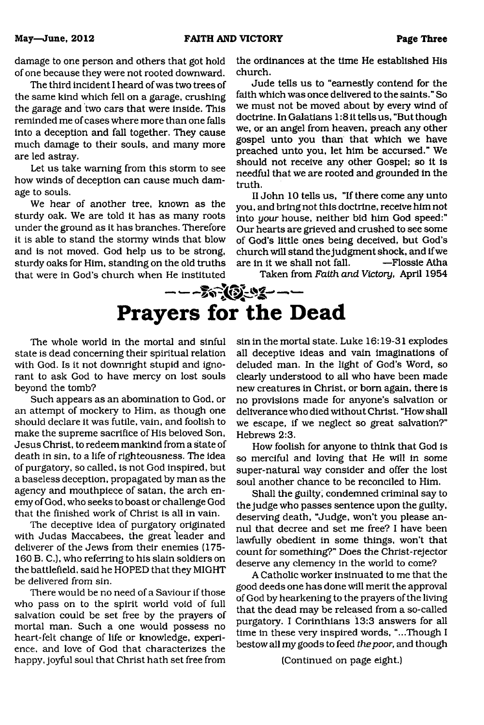damage to one person and others that got hold of one because they were not rooted downward.

The third incident I heard of was two trees of the same kind which fell on a garage, crushing the garage and two cars that were inside. This reminded me of cases where more than one falls into a deception and fall together. They cause much damage to their souls, and many more are led astray.

Let us take warning from this storm to see how winds of deception can cause much damage to souls.

We hear of another tree, known as the sturdy oak. We are told it has as many roots under the ground as it has branches. Therefore it is able to stand the stormy winds that blow and is not moved. God help us to be strong, sturdy oaks for Him, standing on the old truths that were in God's church when He instituted

the ordinances at the time He established His church.

Jude tells us to "earnestly contend for the faith which was once delivered to the saints." So we must not be moved about by every wind of doctrine. In Galatians 1:8 it tells us, "But though we, or an angel from heaven, preach any other gospel unto you than that which we have preached unto you, let him be accursed." We should not receive any other Gospel; so it is needful that we are rooted and grounded in the truth.

II John 10 tells us, "If there come any unto you, and bring not this doctrine, receive him not into *your* house, neither bid him God speed:" Our hearts are grieved and crushed to see some of God's little ones being deceived, but God's church will stand the judgment shock, and if we are in it we shall not fall. —Flossie Atha

Taken from *Faith and Victory,* April 1954

---------- **Prayers for the Dead**

The whole world in the mortal and sinful state is dead concerning their spiritual relation with God. Is it not downright stupid and ignorant to ask God to have mercy on lost souls beyond the tomb?

Such appears as an abomination to God, or an attempt of mockery to Him, as though one should declare it was futile, vain, and foolish to make the supreme sacrifice of His beloved Son, Jesus Christ, to redeem mankind from a state of death in sin, to a life of righteousness. The idea of purgatory, so called, is not God inspired, but a baseless deception, propagated by man as the agency and mouthpiece of satan, the arch enemy of God, who seeks to boast or challenge God that the finished work of Christ is all in vain.

The deceptive idea of purgatory originated with Judas Maccabees, the great leader and deliverer of the Jews from their enemies (175- 160 B. C.), who referring to his slain soldiers on the battlefield, said he HOPED that they MIGHT be delivered from sin.

There would be no need of a Saviour if those who pass on to the spirit world void of full salvation could be set free by the prayers of mortal man. Such a one would possess no heart-felt change of life or knowledge, experience. and love of God that characterizes the happy, joyful soul that Christ hath set free from

sin in the mortal state. Luke 16:19-31 explodes all deceptive ideas and vain imaginations of deluded man. In the light of God's Word, so clearly understood to all who have been made new creatures in Christ, or bom again, there is no provisions made for anyone's salvation or deliverance who died without Christ. "How shall we escape, if we neglect so great salvation?" Hebrews 2:3.

How foolish for anyone to think that God is so merciful and loving that He will in some super-natural way consider and offer the lost soul another chance to be reconciled to Him.

Shall the guilty; condemned criminal say to the judge who passes sentence upon the guilty, deserving death, "Judge, won't you please annul that decree and set me free? I have been lawfully obedient in some things, won't that count for something?" Does the Christ-rejector deserve any clemency in the world to come?

A Catholic worker insinuated to me that the good deeds one has done will merit the approval of God by hearkening to the prayers of the living that the dead may be released from a so-called purgatory. I Corinthians 13:3 answers for all time in these very inspired words, "...Though I bestow all my goods to feed *the poor,* and though

(Continued on page eight.)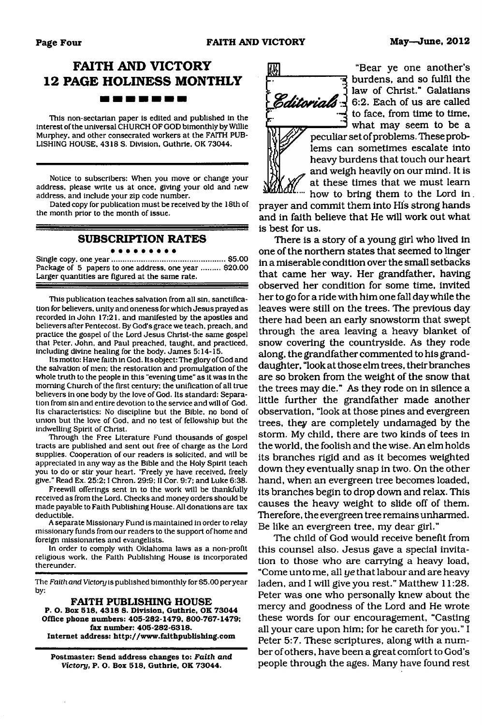### **FAITH AND VICTORY 12 PAGE HOLINESS MONTHLY** . . . . . . **.**

This non-sectarian paper is edited and published in the Interest of the universal CHURCH OF GOD bimonthly by Willie Murphey, and other consecrated workers at the FAITH PUB-LISHING HOUSE. 4318 S. Division. Guthrie. OK 73044.

Notice to subscribers: When you move or change your address, please write us at once, giving your old and new address, and include your zip code number.

Dated copy for publication must be received by the 18th of the month prior to the month of issue.

#### **SUBSCRIPTION RATES**

#### . . . . . . . . .

Single copy, one year......................................................\$5.00 Package of 5 papers to one address, one year ......... \$20.00 Larger quantities are figured at the same rate.

This publication teaches salvation from all sin. sanctification for believers, unity and oneness for which Jesus prayed as recorded in John 17:21, and manifested by the apostles and believers after Pentecost. By God's grace we teach, preach, and practice the gospel of the Lord Jesus Christ-the same gospel that Peter, John, and Paul preached, taught, and practiced, including divine healing for the body. James 5:14-15.

Its motto: Have faith in God. Its object: The glory of God and the salvation of men: the restoration and promulgation of the whole truth to the people in this "evening time" as it was in the morning Church of the first century: the unification of all true believers in one body by the love of God. Its standard: Separation from sin and entire devotion to the service and will of God. Its characteristics: No discipline but the Bible, no bond of union but the love of God. and no test of fellowship but the indwelling Spirit of Christ.

Through the Free Literature Fund thousands of gospel tracts are published and sent out free of charge as the Lord supplies. Cooperation of our readers is solicited, and will be appreciated in any way as the Bible and the Holy Spirit teach you to do or stir your heart. "Freely ye have received, freely give." Read Ex. 25:2:1 Chron. 29:9; II Cor. 9:7; and Luke 6:38.

Freewill offerings sent in to the work will be thankfully received as from the Lord. Checks and money orders should be made payable to Faith Publishing House. All donations are tax deductible.

A separate Missionary Fund is maintained in order to relay missionary funds from our readers to the support of home and foreign missionaries and evangelists.

In order to comply with Oklahoma laws as a non-profit religious work, the Faith Publishing House is incorporated thereunder.

The *Faith and Victory* is published bimonthly for \$5.00 per year by:

#### **FAITH PUBLISHING HOUSE**

**P. O. Box 518. 4318 S. Division. Guthrie. OK 73044 Office phone numbers: 405-282-1479. 800-767-1479; fax number: 405-282-6318. Internet address: <http://www.faithpublishing.com>**

**Postmaster: Send address changes to:** *Faith and Victory,* **P. O. Box 518, Guthrie. OK 73044.**



"Bear ye one another's burdens, and so fulfil the law of Christ." Galatians **Editorials**  $\frac{1}{2}$  6:2. Each of us are called to face, from time to time, what may seem to be a

> peculiar set of problems. These problems can sometimes escalate into heavy burdens that touch our heart and weigh heavily on our mind. It is at these times that we must learn how to bring them to the Lord in

prayer and commit them into His strong hands and in faith believe that He will work out what is best for us.

There is a story of a young girl who lived in one of the northern states that seemed to linger in a miserable condition over the small setbacks that came her way. Her grandfather, having observed her condition for some time, invited her to go for a ride with him one fall day while the leaves were still on the trees. The previous day there had been an early snowstorm that swept through the area leaving a heavy blanket of snow covering the countryside. As they rode along, the grandfather commented to his granddaughter, "look at those elm trees, their branches are so broken from the weight of the snow that the trees may die." As they rode on in silence a little further the grandfather made another observation, "look at those pines and evergreen trees, they are completely undamaged by the storm. My child, there are two kinds of tees in the world, the foolish and the wise. An elm holds its branches rigid and as it becomes weighted down they eventually snap in two. On the other hand, when an evergreen tree becomes loaded, its branches begin to drop down and relax. This causes the heavy weight to slide off of them. Therefore, the evergreen tree remains unharmed. Be like an evergreen tree, my dear girl."

The child of God would receive benefit from this counsel also. Jesus gave a special invitation to those who are carrying a heavy load, "Come unto me, all *ye* that labour and are heavy laden, and I will give you rest." Matthew 11:28. Peter was one who personally knew about the mercy and goodness of the Lord and He wrote these words for our encouragement, "Casting all your care upon him; for he careth for you." I Peter 5:7. These scriptures, along with a number of others, have been a great comfort to God's people through the ages. Many have found rest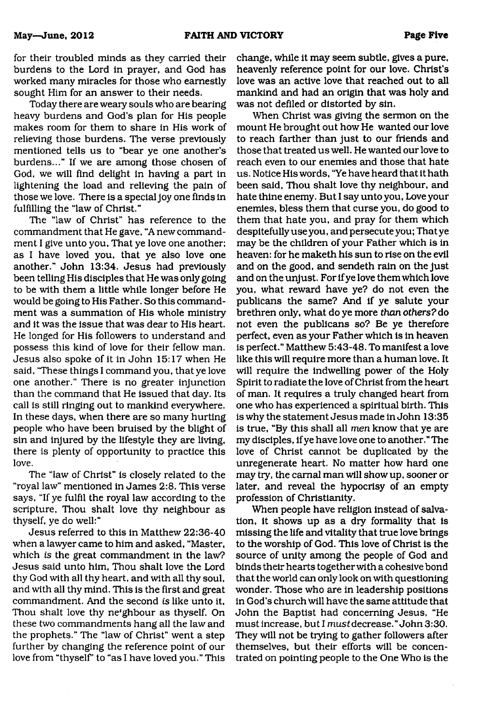for their troubled minds as they carried their burdens to the Lord in prayer, and God has worked many miracles for those who earnestly sought Him for an answer to their needs.

Today there are weary souls who are bearing heavy burdens and God's plan for His people makes room for them to share in His work of relieving those burdens. The verse previously mentioned tells us to "bear ye one another's burdens..." If we are among those chosen of God, we will find delight in having a part in lightening the load and relieving the pain of those we love. There is a special joy one finds in fulfilling the "law of Christ."

The "law of Christ" has reference to the commandment that He gave, "A new commandment I give unto you, That ye love one another; as I have loved you, that ye also love one another." John 13:34. Jesus had previously been telling His disciples that He was only going to be with them a little while longer before He would be going to His Father. So this commandment was a summation of His whole ministry and it was the issue that was dear to His heart. He longed for His followers to understand and possess this kind of love for their fellow man. Jesus also spoke of it in John 15:17 when He said, 'These things I command you, that ye love one another." There is no greater injunction than the command that He issued that day. Its call is still ringing out to mankind everywhere. In these days, when there are so many hurting people who have been bruised by the blight of sin and injured by the lifestyle they are living, there is plenty of opportunity to practice this love.

The "law of Christ" is closely related to the "royal law" mentioned in James 2:8. This verse says, "If ye fulfil the royal law according to the scripture, Thou shalt love thy neighbour as thyself, ye do well:"

Jesus referred to this in Matthew 22:36-40 when a lawyer came to him and asked, "Master, which is the great commandment in the law? Jesus said unto him, Thou shalt love the Lord thy God with all thy heart, and with all thy soul, and with all thy mind. This is the first and great commandment. And the second *is* like unto it, Thou shalt love thy neighbour as thyself. On these two commandments hang all the law and the prophets." The "law of Christ" went a step further by changing the reference point of our love from "thyself' to "as I have loved you." This

change, while it may seem subtle, gives a pure, heavenly reference point for our love. Christ's love was an active love that reached out to all mankind and had an origin that was holy and was not defiled or distorted by sin.

When Christ was giving the sermon on the mount He brought out how He wanted our love to reach farther than just to our friends and those that treated us well. He wanted our love to reach even to our enemies and those that hate us. Notice His words, "Ye have heard that it hath been said. Thou shalt love thy neighbour, and hate thine enemy. But I say unto you, Love your enemies, bless them that curse you, do good to them that hate you, and pray for them which despitefullyuseyou, and persecute you; That ye may be the children of your Father which is in heaven: for he maketh his sun to rise on the evil and on the good, and sendeth rain on the just and on the unjust. For if ye love them which love you, what reward have ye? do not even the publicans the same? And if ye salute your brethren only, what do ye more *than others?* do not even the publicans so? Be ye therefore perfect, even as your Father which is in heaven is perfect." Matthew 5:43-48. To manifest a love like this will require more than a human love. It will require the indwelling power of the Holy Spirit to radiate the love of Christ from the heart of man. It requires a truly changed heart from one who has experienced a spiritual birth. This is why the statement Jesus made in John 13:35 is true, "By this shall all *men* know that ye are my disciples, if ye have love one to another." The love of Christ cannot be duplicated by the unregenerate heart. No matter how hard one may try, the carnal man will show up, sooner or later, and reveal the hypocrisy of an empty profession of Christianity.

When people have religion instead of salvation, it shows up as a dry formality that is missing the life and vitality that true love brings to the worship of God. This love of Christ is the source of unity among the people of God and binds their hearts together with a cohesive bond that the world can only look on with questioning wonder. Those who are in leadership positions in God's church will have the same attitude that John the Baptist had concerning Jesus, "He must increase, but I mustdecrease." John 3:30. They will not be trying to gather followers after themselves, but their efforts will be concentrated on pointing people to the One Who is the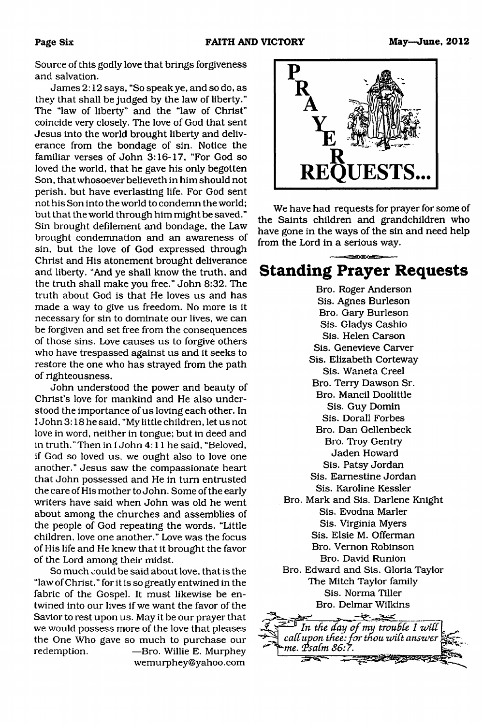Source of this godly love that brings forgiveness and salvation.

James 2:12 says, "So speak ye, and so do, as they that shall be judged by the law of liberty." The "law of liberty" and the "law of Christ" coincide very closely. The love of God that sent Jesus into the world brought liberty and deliverance from the bondage of sin. Notice the familiar verses of John 3:16-17, "For God so loved the world, that he gave his only begotten Son, that whosoever believeth in him should not perish, but have everlasting life. For God sent not his Son into the world to condemn the world; but that the world through him might be saved." Sin brought defilement and bondage, the Law brought condemnation and an awareness of sin, but the love of God expressed through Christ and His atonement brought deliverance and liberty. "And ye shall know the truth, and the truth shall make you free." John 8:32. The truth about God is that He loves us and has made a way to give us freedom. No more is it necessary for sin to dominate our lives, we can be forgiven and set free from the consequences of those sins. Love causes us to forgive others who have trespassed against us and it seeks to restore the one who has strayed from the path of righteousness.

John understood the power and beauty of Christ's love for mankind and He also understood the importance of us loving each other. In I John 3:18 he said, "My little children, let us not love in word, neither in tongue; but in deed and in truth." Then in I John 4:11 he said, "Beloved, if God so loved us, we ought also to love one another." Jesus saw the compassionate heart that John possessed and He in turn entrusted the care of His mother to John. Some of the early writers have said when John was old he went about among the churches and assemblies of the people of God repeating the words, "Little children, love one another." Love was the focus of His life and He knew that it brought the favor of the Lord among their midst.

So much could be said about love, that is the "law of Christ," for it is so greatly entwined in the fabric of the Gospel. It must likewise be entwined into our lives if we want the favor of the Savior to rest upon us. May it be our prayer that we would possess more of the love that pleases the One Who gave so much to purchase our redemption. — Bro. Willie E. Murphey [wemurphey@yahoo.com](mailto:wemurphey@yahoo.com)



We have had requests for prayer for some of the Saints children and grandchildren who have gone in the ways of the sin and need help from the Lord in a serious way.

## **Standing Prayer Requests**

Bro. Roger Anderson Sis. Agnes Burleson Bro. Gary Burleson Sis. Gladys Cashio Sis. Helen Carson Sis. Genevieve Carver Sis. Elizabeth Corteway Sis. Waneta Creel Bro. Terry Dawson Sr. Bro. Mancil Doolittle Sis. Guy Domin Sis. Dorall Forbes Bro. Dan Gellenbeck Bro. Troy Gentry Jaden Howard Sis. Patsy Jordan Sis. Eamestine Jordan Sis. Karoline Kessler Bro. Mark and Sis. Darlene Knight Sis. Evodna Marler Sis. Virginia Myers Sis. Elsie M. Offerman Bro. Vernon Robinson Bro. David Runion Bro. Edward and Sis. Gloria Taylor The Mitch Taylor family Sis. Norma Tiller Bro. Delmar Wilkins —•--- ./ ----1 *In the day of my trouble I will* call upon thee: for thou wilt answer *(FsaCm 86: r.* ------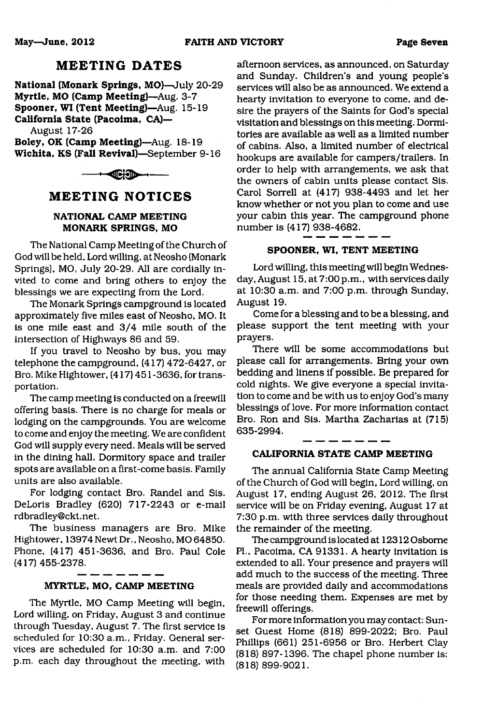### **MEETING DATES**

**National (Monark Springs, MO)**—July 20-29 **Myrtle, MO (Camp Meeting)**—Aug. 3-7 **Spooner, WI (Tent Meeting)**—Aug. 15-19 **California State (Pacoima, CA)—**

August 17-26

**Boley, OK (Camp Meeting)**—Aug. 18-19 **Wichita, KS (Fall Revival)**—September 9-16



#### **MEETING NOTICES**

#### **NATIONAL CAMP MEETING MONARK SPRINGS, MO**

The National Camp Meeting of the Church of God will be held. Lord willing, at Neosho (Monark Springs), MO, July 20-29. All are cordially invited to come and bring others to enjoy the blessings we are expecting from the Lord.

The Monark Springs campground is located approximately five miles east of Neosho, MO. It is one mile east and 3/4 mile south of the intersection of Highways 86 and 59.

If you travel to Neosho by bus, you may telephone the campground, (417) 472-6427, or Bro. Mike Hightower, (417) 451 -3636, for transportation.

The camp meeting is conducted on a freewill offering basis. There is no charge for meals or lodging on the campgrounds. You are welcome to come and enjoy the meeting. We are confident God will supply every need. Meals will be served in the dining hall. Dormitory space and trailer spots are available on a first-come basis. Family units are also available.

For lodging contact Bro. Randel and Sis. DeLoris Bradley (620) 717-2243 or e-mail [rdbradley@ckt.net](mailto:rdbradley@ckt.net).

The business managers are Bro. Mike Hightower, 13974 Newt Dr., Neosho, MO 64850. Phone, (417) 451-3636, and Bro. Paul Cole (417)455-2378.

#### **MYRTLE, MO, CAMP MEETING**

The Myrtle, MO Camp Meeting will begin, Lord willing, on Friday, August 3 and continue through Tuesday, August 7. The first service is scheduled for 10:30 a.m., Friday. General services are scheduled for 10:30 a.m. and 7:00 p.m. each day throughout the meeting, with

afternoon services, as announced, on Saturday and Sunday. Children's and young people's services will also be as announced. We extend a hearty invitation to everyone to come, and desire the prayers of the Saints for God's special visitation and blessings on this meeting. Dormitories are available as well as a limited number of cabins. Also, a limited number of electrical hookups are available for campers/trailers. In order to help with arrangements, we ask that the owners of cabin units please contact Sis. Carol Sorrell at (417) 938-4493 and let her know whether or not you plan to come and use your cabin this year. The campground phone number is (417) 938-4682.

#### **SPOONER, WI, TENT MEETING**

Lord willing, this meeting will begin Wednesday, August 15, at 7:00 p.m., with services daily at 10:30 a.m. and 7:00 p.m. through Sunday, August 19.

Come for a blessing and to be a blessing, and please support the tent meeting with your prayers.

There will be some accommodations but please call for arrangements. Bring your own bedding and linens if possible. Be prepared for cold nights. We give everyone a special invitation to come and be with us to enjoy God's many blessings of love. For more information contact Bro. Ron and Sis. Martha Zacharias at (715) 635-2994.

#### **CALIFORNIA STATE CAMP MEETING**

The annual California State Camp Meeting of the Church of God will begin, Lord willing, on August 17, ending August 26, 2012. The first service will be on Friday evening, August 17 at 7:30 p.m. with three services daily throughout the remainder of the meeting.

The campground is located at 12312 Osborne PL, Pacoima, CA 91331. A hearty invitation is extended to all. Your presence and prayers will add much to the success of the meeting. Three meals are provided daily and accommodations for those needing them. Expenses are met by freewill offerings.

For more information you may contact: Sunset Guest Home (818) 899-2022; Bro. Paul Phillips (661) 251-6956 or Bro. Herbert Clay (818) 897-1396. The chapel phone number is: (818) 899-9021.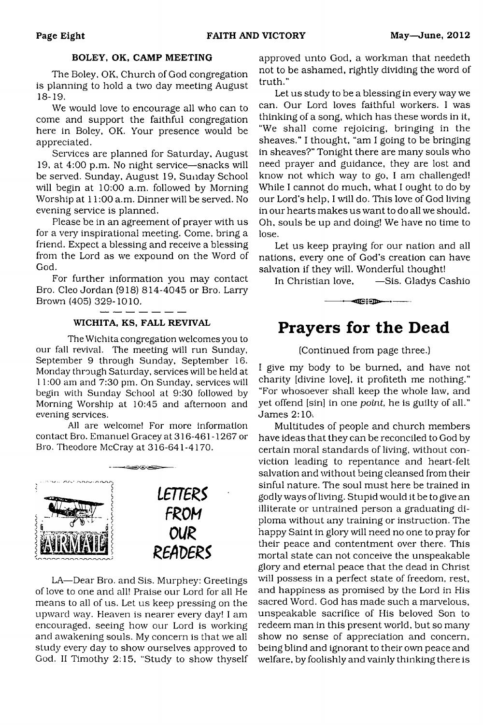#### **BOLEY, OK, CAMP MEETING**

The Boley, OK, Church of God congregation is planning to hold a two day meeting August 18-19.

We would love to encourage all who can to come and support the faithful congregation here in Boley, OK. Your presence would be appreciated.

Services are planned for Saturday, August 19, at 4:00 p.m. No night service— snacks will be served. Sunday, August 19, Sunday School will begin at 10:00 a.m. followed by Morning Worship at 11:00 a.m. Dinner will be served. No evening service is planned.

Please be in an agreement of prayer with us for a very inspirational meeting. Come, bring a friend. Expect a blessing and receive a blessing from the Lord as we expound on the Word of God.

For further information you may contact Bro. Cleo Jordan (918) 814-4045 or Bro. Larry Brown (405) 329-1010.

#### **WICHITA, KS, FALL REVIVAL**

The Wichita congregation welcomes you to our fall revival. The meeting will run Sunday, September 9 through Sunday, September 16. Monday through Saturday, services will be held at 11:00 am and 7:30 pm. On Sunday, services will begin with Sunday School at 9:30 followed by Morning Worship at 10:45 and afternoon and evening services.

All are welcome! For more information contact Bro. Emanuel Gracey at 316-461 -1267 or Bro. Theodore McCray at 316-641-4170.



LA— Dear Bro. and Sis. Murphey: Greetings of love to one and all! Praise our Lord for all He means to all of us. Let us keep pressing on the upward way. Heaven is nearer every day! I am encouraged, seeing how our Lord is working and awakening souls. My concern is that we all study every day to show ourselves approved to God. II Timothy 2:15, "Study to show thyself

approved unto God, a workman that needeth not to be ashamed, rightly dividing the word of truth."

Let us study to be a blessing in every way we can. Our Lord loves faithful workers. I was thinking of a song, which has these words in it, "We shall come rejoicing, bringing in the sheaves." I thought, "am I going to be bringing in sheaves?" Tonight there are many souls who need prayer and guidance, they are lost and know not which way to go, I am challenged! While I cannot do much, what I ought to do by our Lord's help, I will do. This love of God living in our hearts makes us want to do all we should. Oh, souls be up and doing! We have no time to lose.

Let us keep praying for our nation and all nations, every one of God's creation can have salvation if they will. Wonderful thought!

In Christian love, 
—Sis. Gladys Cashio

-------— ----------------------------

## **Prayers for the Dead**

#### (Continued from page three.)

I give my body to be burned, and have not charity [divine love], it profiteth me nothing." "For whosoever shall keep the whole law, and yet offend [sin] in one *point,* he is guilty of all." James 2:10-.

Multitudes of people and church members have ideas that they can be reconciled to God by certain moral standards of living, without conviction leading to repentance and heart-felt salvation and without being cleansed from their sinful nature. The soul must here be trained in godly ways of living. Stupid would it be to give an illiterate or untrained person a graduating diploma without any training or instruction. The happy Saint in glory will need no one to pray for their peace and contentment over there. This mortal state can not conceive the unspeakable glory and eternal peace that the dead in Christ will possess in a perfect state of freedom, rest, and happiness as promised by the Lord in His sacred Word. God has made such a marvelous, unspeakable sacrifice of His beloved Son to redeem man in this present world, but so many show no sense of appreciation and concern, being blind and ignorant to their own peace and welfare, by foolishly and vainly thinking there is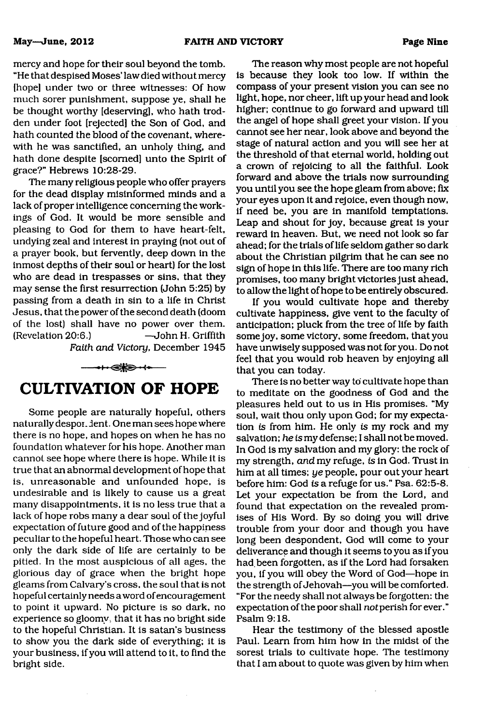mercy and hope for their soul beyond the tomb. "He that despised Moses' law died without mercy [hope] under two or three witnesses: Of how much sorer punishment, suppose ye, shall he be thought worthy [deserving], who hath trodden under foot [rejected] the Son of God, and hath counted the blood of the covenant, wherewith he was sanctified, an unholy thing, and hath done despite [scorned] unto the Spirit of grace?" Hebrews 10:28-29.

The many religious people who offer prayers for the dead display misinformed minds and a lack of proper intelligence concerning the workings of God. It would be more sensible and pleasing to God for them to have heart-felt, undying zeal and interest in praying (not out of a prayer book, but fervently, deep down in the inmost depths of their soul or heart) for the lost who are dead in trespasses or sins, that they may sense the first resurrection (John 5:25) by passing from a death in sin to a life in Christ Jesus, that the power of the second death (doom of the lost) shall have no power over them. (Revelation 20:6.) —John H. Griffith *Faith and Victory,* December 1945



Some people are naturally hopeful, others naturally despor. dent. One man sees hope where there is no hope, and hopes on when he has no foundation whatever for his hope. Another man cannot see hope where there is hope. While it is true that an abnormal development of hope that is, unreasonable and unfounded hope, is undesirable and is likely to cause us a great many disappointments, it is no less true that a lack of hope robs many a dear soul of the joyful expectation of future good and of the happiness peculiar to the hopeful heart. Those who can see only the dark side of life are certainly to be pitied. In the most auspicious of all ages, the glorious day of grace when the bright hope gleams from Calvary's cross, the soul that is not hopeful certainly needs a word of encouragement to point it upward. No picture is so dark, no experience so gloomy, that it has no bright side to the hopeful Christian. It is satan's business to show you the dark side of everything; it is your business, if you will attend to it, to find the bright side.

The reason why most people are not hopeful is because they look too low. If within the compass of your present vision you can see no light, hope, nor cheer, lift up your head and look higher; continue to go forward and upward till the angel of hope shall greet your vision. If you cannot see her near, look above and beyond the stage of natural action and you will see her at the threshold of that eternal world, holding out a crown of rejoicing to all the faithful. Look forward and above the trials now surrounding you until you see the hope gleam from above; fix your eyes upon it and rejoice, even though now, if need be, you are in manifold temptations. Leap and shout for joy, because great is your reward in heaven. But, we need not look so far ahead; for the trials of life seldom gather so dark about the Christian pilgrim that he can see no sign of hope in this life. There are too many rich promises, too many bright victories just ahead, to allow the light of hope to be entirely obscured.

If you would cultivate hope and thereby cultivate happiness, give vent to the faculty of anticipation; pluck from the tree of life by faith some joy, some victory, some freedom, that you have unwisely supposed was not for you. Do not feel that you would rob heaven by enjoying all that you can today.

There is no better way to cultivate hope than to meditate on the goodness of God and the pleasures held out to us in His promises. "My soul, wait thou only upon God; for my expectation *is* from him. He only *is* my rock and my salvation; *he is* my defense; I shall not be moved. In God is my salvation and my glory: the rock of my strength, *and* my refuge, *is* in God. Trust in him at all times; *ye* people, pour out your heart before him: God *is* a refuge for us." Psa. 62:5-8. Let your expectation be from the Lord, and found that expectation on the revealed promises of His Word. By so doing you will drive trouble from your door and though you have long been despondent, God will come to your deliverance and though it seems to you as if you had.been forgotten, as if the Lord had forsaken you, if you will obey the Word of God—hope in the strength of Jehovah—you will be comforted. "For the needy shall not always be forgotten: the expectation of the poor shall *not* perish for ever." Psalm 9:18.

Hear the testimony of the blessed apostle Paul. Learn from him how in the midst of the sorest trials to cultivate hope. The testimony that I am about to quote was given by him when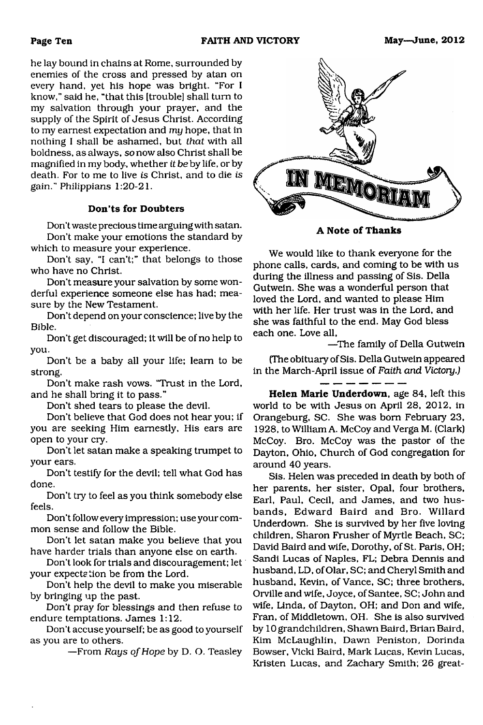he lay bound in chains at Rome, surrounded by enemies of the cross and pressed by atan on every hand, yet his hope was bright. "For I know," said he, "that this [trouble] shall turn to my salvation through your prayer, and the supply of the Spirit of Jesus Christ. According to my earnest expectation and *my* hope, that in nothing I shall be ashamed, but *that* with all boldness, as always, *so* now also Christ shall be magnified in my body, whether *it be* by life, or by death. For to me to live *is* Christ, and to die *is* gain." Philippians 1:20-21.

#### **Don'ts for Doubters**

Don't waste precious time arguing with satan. Don't make your emotions the standard by which to measure your experience.

Don't say, "I can't;" that belongs to those who have no Christ.

Don't measure your salvation by some wonderful experience someone else has had; measure by the New Testament.

Don't depend on your conscience; live by the Bible.

Don't get discouraged; it will be of no help to you.

Don't be a baby all your life; learn to be strong.

Don't make rash vows. "Trust in the Lord, and he shall bring it to pass."

Don't shed tears to please the devil.

Don't believe that God does not hear you; if you are seeking Him earnestly, His ears are open to your cry.

Don't let satan make a speaking trumpet to your ears.

Don't testify for the devil; tell what God has done.

Don't try to feel as you think somebody else feels.

Don't follow every impression; use your common sense and follow the Bible.

Don't let satan make you believe that you have harder trials than anyone else on earth.

Don't look for trials and discouragement; let your expectation be from the Lord.

Don't help the devil to make you miserable by bringing up the past.

Don't pray for blessings and then refuse to endure temptations. James 1:12.

Don't accuse yourself; be as good to yourself as you are to others.

—From *Rays of Hope* by D. O. Teasley



**A Note of Thanks**

We would like to thank everyone for the phone calls, cards, and coming to be with us during the illness and passing of Sis. Della Gutwein. She was a wonderful person that loved the Lord, and wanted to please Him with her life. Her trust was in the Lord, and she was faithful to the end. May God bless each one. Love all,

—The family of Della Gutwein

(The obituary of Sis. Della Gutwein appeared in the March-April issue of *Faith and Victory.)*

**Helen Marie Underdown,** age 84, left this world to be with Jesus on April 28, 2012, in Orangeburg, SC. She was bom February 23, 1928, to William A. McCoy and VergaM. (Clark) McCoy. Bro. McCoy was the pastor of the Dayton, Ohio, Church of God congregation for around 40 years.

Sis. Helen was preceded in death by both of her parents, her sister, Opal, four brothers, Earl, Paul, Cecil, and James, and two husbands, Edward Baird and Bro. Willard Underdown. She is survived by her five loving children, Sharon Frusher of Myrtle Beach, SC; David Baird and wife, Dorothy, of St. Paris, OH; Sandi Lucas of Naples, FL; Debra Dennis and husband, LD, of Olar, SC; and Cheryl Smith and husband, Kevin, of Vance, SC; three brothers, Orville and wife, Joyce, of Santee, SC; John and wife, Linda, of Dayton, OH; and Don and wife, Fran, of Middletown, OH. She is also survived by 10 grandchildren, Shawn Baird, Brian Baird, Kim McLaughlin, Dawn Peniston, Dorinda Bowser, Vicki Baird, Mark Lucas, Kevin Lucas, Kristen Lucas, and Zachary Smith; 26 great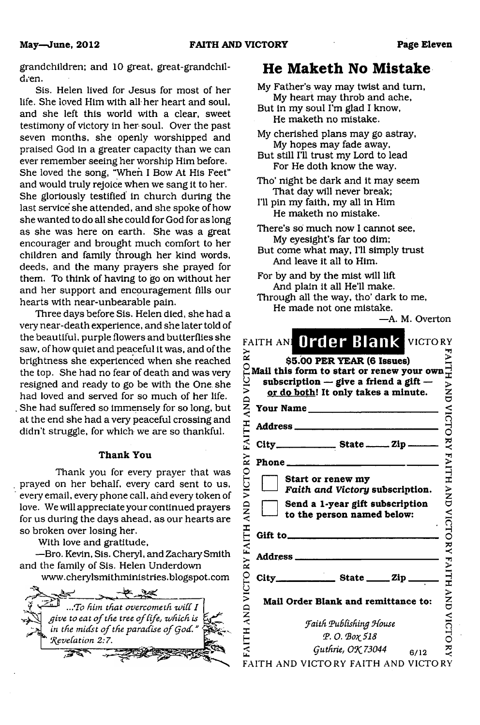grandchildren; and 10 great, great-grandchildren.

Sis. Helen lived for Jesus for most of her life. She loved Him with all her heart and soul, and she left this world with a clear, sweet testimony of victory in her soul. Over the past seven months, she openly worshipped and praised God in a greater capacity than we can ever remember seeing her worship Him before. She loved the song, "When I Bow At His Feet" and would truly rejoice when we sang it to her. She gloriously testified in church during the last service she attended, and she spoke of how she wanted to do all she could for God for as long as she was here on earth. She was a great encourager and brought much comfort to her children and family through her kind words, deeds, and the many prayers she prayed for them. To think of having to go on without her and her support and encouragement fills our hearts with near-unbearable pain.

Three days before Sis. Helen died, she had a very near-death experience, and she later told of the beautiful, purple flowers and butterflies she saw, of how quiet and peaceful it was, and of the brightness she experienced when she reached the top. She had no fear of death and was very resigned and ready to go be with the One she had loved and served for so much of her life. She had suffered so immensely for so long, but at the end she had a very peaceful crossing and didn't struggle, for which we are so thankful.

#### **Thank You**

Thank you for every prayer that was prayed on her behalf, every card sent to us, every email, every phone call, and every token of love. We will appreciate your continued prayers for us during the days ahead, as our hearts are so broken over losing her.

With love and gratitude,

—Bro. Kevin, Sis. Cheryl, and Zachary Smith and the family of Sis. Helen Underdown



### **He Maketh No Mistake**

My Father's way may twist and turn, My heart may throb and ache,

But in my soul I'm glad I know, He maketh no mistake.

- My cherished plans may go astray, My hopes may fade away,
- But still I'll trust my Lord to lead For He doth know the way.
- Tho' night be dark and it may seem That day will never break;
- I'll pin my faith, my all in Him He maketh no mistake.
- There's so much now I cannot see, My eyesight's far too dim;
- But come what may, I'll simply trust And leave it all to Him.
- For by and by the mist will lift And plain it all He'll make.
- Through all the way, tho' dark to me, He made not one mistake.

—A. M. Overton

| ≳<br>ρJ           | FAITH ANL Order Blank<br>VICTORY<br>\$5.00 PER YEAR (6 Issues)                                                                | FAITH                |
|-------------------|-------------------------------------------------------------------------------------------------------------------------------|----------------------|
|                   | Mail this form to start or renew your own<br>subscription $-$ give a friend a gift $-$<br>or do both! It only takes a minute. | NND<br>UND           |
| QNY               | Your Name                                                                                                                     |                      |
|                   | Address _____________________                                                                                                 | VICTO                |
| FAITH             |                                                                                                                               | $\check{\mathbf{z}}$ |
| $\mathbf{X}$      |                                                                                                                               | HTIATH               |
| VICTO             | Start or renew my<br>Faith and Victory subscription.                                                                          |                      |
| AND               | Send a 1-year gift subscription<br>to the person named below:                                                                 | NND                  |
| IТH               |                                                                                                                               |                      |
| FAI               |                                                                                                                               |                      |
| FAITH AND VICTORY | ______ State _____ Zip _                                                                                                      | <b>VICTORY FAITH</b> |
|                   | Mail Order Blank and remittance to:                                                                                           | $\sum_{i=1}^{n}$     |
|                   | Faith Publishing House                                                                                                        | VICTO                |
|                   | P.O. Βοχ 518                                                                                                                  |                      |
|                   | Guthrie, OK 73044<br>6/12                                                                                                     | ट्र                  |
|                   | FAITH AND VICTORY FAITH AND VICTORY                                                                                           |                      |